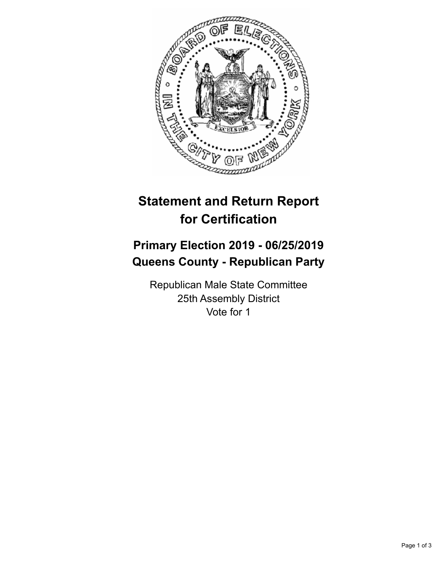

## **Statement and Return Report for Certification**

## **Primary Election 2019 - 06/25/2019 Queens County - Republican Party**

Republican Male State Committee 25th Assembly District Vote for 1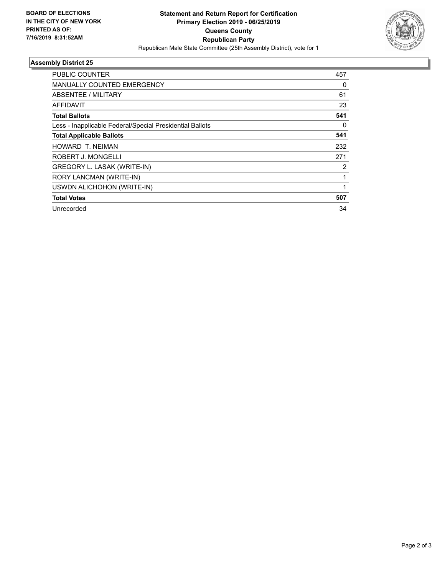

## **Assembly District 25**

| 457 |
|-----|
| 0   |
| 61  |
| 23  |
| 541 |
| 0   |
| 541 |
| 232 |
| 271 |
| 2   |
| 1   |
| 1   |
| 507 |
| 34  |
|     |